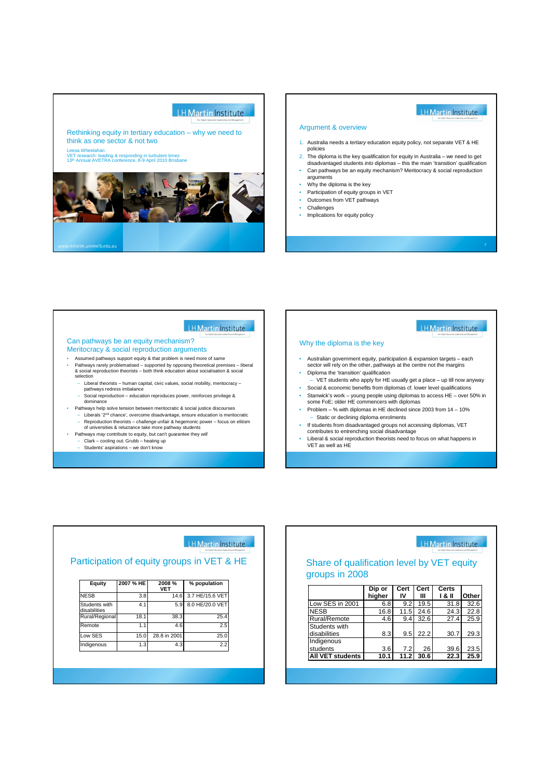

LH Martin Institute

#### LH Martin Institute

#### Argument & overview

- 1. Australia needs a tertiary education equity policy, not separate VET & HE policies
- 2. The diploma is the key qualification for equity in Australia we need to get disadvantaged students into diplomas this the main 'transition' qualification
- Can pathways be an equity mechanism? Meritocracy & social reproduction arguments
- Why the diploma is the key
- Participation of equity groups in VET
- Outcomes from VET pathways
- Challenges

Indigenous

**All VET students 10.1** 

Implications for equity policy

#### LH Martin Institute LH Martin Institute Can pathways be an equity mechanism? Why the diploma is the key Meritocracy & social reproduction arguments • Assumed pathways support equity & that problem is need more of same sector will rely on the other, pathways at the centre not the margins • Pathways rarely problematised – supported by opposing theoretical premises – liberal & social reproduction theorists – both think education about socialisation & social • Diploma the 'transition' qualification selection

- Liberal theorists human capital, civic values, social mobility, meritocracy pathways redress imbalance – Social reproduction – education reproduces power, reinforces privilege & dominance
- Pathways help solve tension between meritocratic & social justice discourses – Liberals '2nd chance', overcome disadvantage, ensure education is meritocratic
	- Reproduction theorists challenge unfair & hegemonic power focus on elitism of universities & reluctance take more pathway students
- Pathways may contribute to equity, but can't guarantee they will
- Clark cooling out; Grubb heating up
- Students' aspirations we don't know
- Australian government equity, participation & expansion targets each
- 
- VET students who apply for HE usually get a place up till now anyway Social & economic benefits from diplomas cf. lower level qualifications
- Stanwick's work young people using diplomas to access HE over 50% in some FoE; older HE commencers with diplomas
- Problem % with diplomas in HE declined since 2003 from 14 10% Static or declining diploma enrolments
- If students from disadvantaged groups not accessing diplomas, VET contributes to entrenching social disadvantage
- Liberal & social reproduction theorists need to focus on what happens in VET as well as HE

|                               |           |              | <b>HMartin Institute</b><br>For Higher Education Leadership and Management |  |
|-------------------------------|-----------|--------------|----------------------------------------------------------------------------|--|
|                               |           |              | Participation of equity groups in VET & HE                                 |  |
|                               |           |              |                                                                            |  |
| Equity                        | 2007 % HE | 2008 %       | % population                                                               |  |
|                               |           | <b>VET</b>   |                                                                            |  |
| <b>NESB</b>                   | 3.8       | 14.6         | 3.7 HE/15.6 VET                                                            |  |
| Students with<br>disabilities | 4.1       | 5.9          | 8.0 HE/20.0 VET                                                            |  |
| Rural/Regional                | 18.1      | 38.3         | 25.4                                                                       |  |
| Remote                        | 1.1       | 4.6          | 2.5                                                                        |  |
| Low SES                       | 15.0      | 28.8 in 2001 | 25.0                                                                       |  |

**Indigenous** 1.3 4.3 2.2

| <b>IH Martin Institute</b><br>For Higher Education Leadership and Management<br>Share of qualification level by VET equity<br>groups in 2008 |                  |            |           |                 |       |  |
|----------------------------------------------------------------------------------------------------------------------------------------------|------------------|------------|-----------|-----------------|-------|--|
|                                                                                                                                              | Dip or<br>higher | Cert<br>IV | Cert<br>Ш | Certs<br>1 & II | Other |  |
| Low SES in 2001                                                                                                                              | 6.8              | 9.2        | 19.5      | 31.8            | 32.6  |  |
| <b>NESB</b>                                                                                                                                  | 16.8             | 11.5       | 24.6      | 24.3            | 22.8  |  |
| Rural/Remote                                                                                                                                 | 4.6              | 9.4        | 32.6      | 27.4            | 25.9  |  |
| Students with<br>disabilities                                                                                                                | 8.3              | 9.5        |           | 30.7            | 29.3  |  |

students 3.6 7.2 26 39.6 23.5<br>All VET students 10.1 11.2 30.6 22.3 25.9